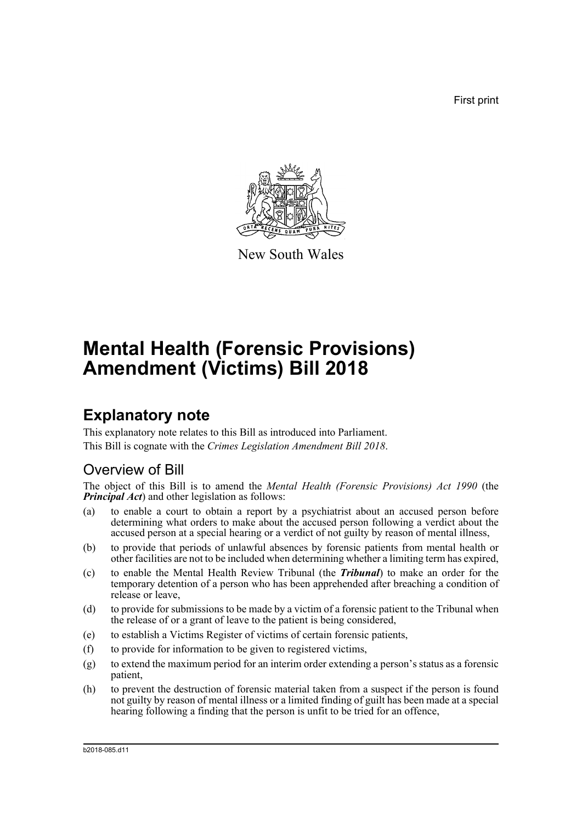First print



New South Wales

# **Mental Health (Forensic Provisions) Amendment (Victims) Bill 2018**

# **Explanatory note**

This explanatory note relates to this Bill as introduced into Parliament. This Bill is cognate with the *Crimes Legislation Amendment Bill 2018*.

## Overview of Bill

The object of this Bill is to amend the *Mental Health (Forensic Provisions) Act 1990* (the *Principal Act*) and other legislation as follows:

- (a) to enable a court to obtain a report by a psychiatrist about an accused person before determining what orders to make about the accused person following a verdict about the accused person at a special hearing or a verdict of not guilty by reason of mental illness,
- (b) to provide that periods of unlawful absences by forensic patients from mental health or other facilities are not to be included when determining whether a limiting term has expired,
- (c) to enable the Mental Health Review Tribunal (the *Tribunal*) to make an order for the temporary detention of a person who has been apprehended after breaching a condition of release or leave,
- (d) to provide for submissions to be made by a victim of a forensic patient to the Tribunal when the release of or a grant of leave to the patient is being considered,
- (e) to establish a Victims Register of victims of certain forensic patients,
- (f) to provide for information to be given to registered victims,
- $(g)$  to extend the maximum period for an interim order extending a person's status as a forensic patient,
- (h) to prevent the destruction of forensic material taken from a suspect if the person is found not guilty by reason of mental illness or a limited finding of guilt has been made at a special hearing following a finding that the person is unfit to be tried for an offence,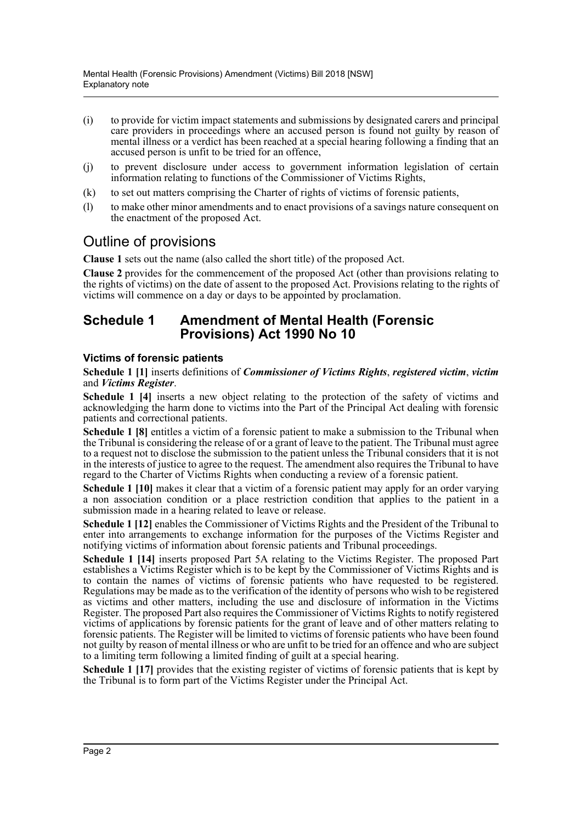- (i) to provide for victim impact statements and submissions by designated carers and principal care providers in proceedings where an accused person is found not guilty by reason of mental illness or a verdict has been reached at a special hearing following a finding that an accused person is unfit to be tried for an offence,
- (j) to prevent disclosure under access to government information legislation of certain information relating to functions of the Commissioner of Victims Rights,
- (k) to set out matters comprising the Charter of rights of victims of forensic patients,
- (l) to make other minor amendments and to enact provisions of a savings nature consequent on the enactment of the proposed Act.

## Outline of provisions

**Clause 1** sets out the name (also called the short title) of the proposed Act.

**Clause 2** provides for the commencement of the proposed Act (other than provisions relating to the rights of victims) on the date of assent to the proposed Act. Provisions relating to the rights of victims will commence on a day or days to be appointed by proclamation.

### **Schedule 1 Amendment of Mental Health (Forensic Provisions) Act 1990 No 10**

#### **Victims of forensic patients**

#### **Schedule 1 [1]** inserts definitions of *Commissioner of Victims Rights*, *registered victim*, *victim* and *Victims Register*.

**Schedule 1 [4]** inserts a new object relating to the protection of the safety of victims and acknowledging the harm done to victims into the Part of the Principal Act dealing with forensic patients and correctional patients.

**Schedule 1 [8]** entitles a victim of a forensic patient to make a submission to the Tribunal when the Tribunal is considering the release of or a grant of leave to the patient. The Tribunal must agree to a request not to disclose the submission to the patient unless the Tribunal considers that it is not in the interests of justice to agree to the request. The amendment also requires the Tribunal to have regard to the Charter of Victims Rights when conducting a review of a forensic patient.

**Schedule 1 [10]** makes it clear that a victim of a forensic patient may apply for an order varying a non association condition or a place restriction condition that applies to the patient in a submission made in a hearing related to leave or release.

**Schedule 1 [12]** enables the Commissioner of Victims Rights and the President of the Tribunal to enter into arrangements to exchange information for the purposes of the Victims Register and notifying victims of information about forensic patients and Tribunal proceedings.

**Schedule 1 [14]** inserts proposed Part 5A relating to the Victims Register. The proposed Part establishes a Victims Register which is to be kept by the Commissioner of Victims Rights and is to contain the names of victims of forensic patients who have requested to be registered. Regulations may be made as to the verification of the identity of persons who wish to be registered as victims and other matters, including the use and disclosure of information in the Victims Register. The proposed Part also requires the Commissioner of Victims Rights to notify registered victims of applications by forensic patients for the grant of leave and of other matters relating to forensic patients. The Register will be limited to victims of forensic patients who have been found not guilty by reason of mental illness or who are unfit to be tried for an offence and who are subject to a limiting term following a limited finding of guilt at a special hearing.

**Schedule 1 [17]** provides that the existing register of victims of forensic patients that is kept by the Tribunal is to form part of the Victims Register under the Principal Act.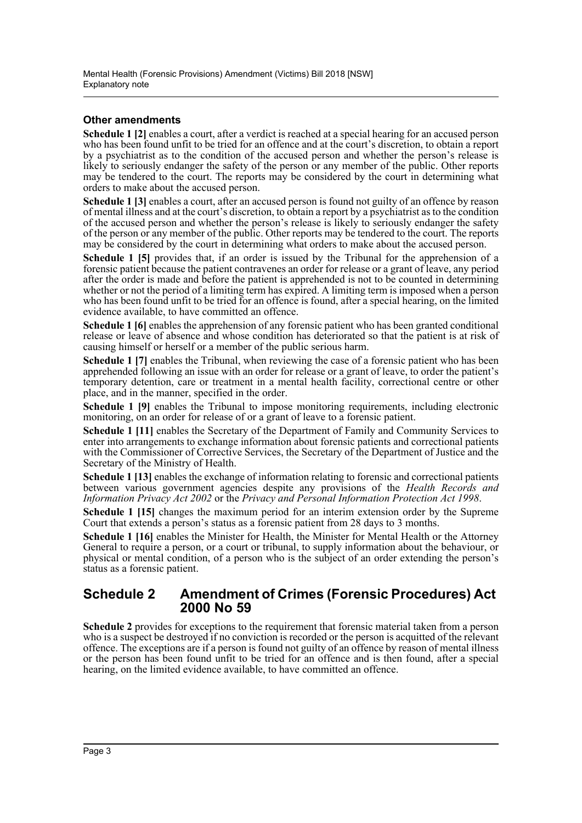#### **Other amendments**

**Schedule 1 [2]** enables a court, after a verdict is reached at a special hearing for an accused person who has been found unfit to be tried for an offence and at the court's discretion, to obtain a report by a psychiatrist as to the condition of the accused person and whether the person's release is likely to seriously endanger the safety of the person or any member of the public. Other reports may be tendered to the court. The reports may be considered by the court in determining what orders to make about the accused person.

**Schedule 1 [3]** enables a court, after an accused person is found not guilty of an offence by reason of mental illness and at the court's discretion, to obtain a report by a psychiatrist as to the condition of the accused person and whether the person's release is likely to seriously endanger the safety of the person or any member of the public. Other reports may be tendered to the court. The reports may be considered by the court in determining what orders to make about the accused person.

Schedule 1 [5] provides that, if an order is issued by the Tribunal for the apprehension of a forensic patient because the patient contravenes an order for release or a grant of leave, any period after the order is made and before the patient is apprehended is not to be counted in determining whether or not the period of a limiting term has expired. A limiting term is imposed when a person who has been found unfit to be tried for an offence is found, after a special hearing, on the limited evidence available, to have committed an offence.

**Schedule 1 [6]** enables the apprehension of any forensic patient who has been granted conditional release or leave of absence and whose condition has deteriorated so that the patient is at risk of causing himself or herself or a member of the public serious harm.

Schedule 1 [7] enables the Tribunal, when reviewing the case of a forensic patient who has been apprehended following an issue with an order for release or a grant of leave, to order the patient's temporary detention, care or treatment in a mental health facility, correctional centre or other place, and in the manner, specified in the order.

**Schedule 1 [9]** enables the Tribunal to impose monitoring requirements, including electronic monitoring, on an order for release of or a grant of leave to a forensic patient.

**Schedule 1 [11]** enables the Secretary of the Department of Family and Community Services to enter into arrangements to exchange information about forensic patients and correctional patients with the Commissioner of Corrective Services, the Secretary of the Department of Justice and the Secretary of the Ministry of Health.

**Schedule 1 [13]** enables the exchange of information relating to forensic and correctional patients between various government agencies despite any provisions of the *Health Records and Information Privacy Act 2002* or the *Privacy and Personal Information Protection Act 1998*.

**Schedule 1 [15]** changes the maximum period for an interim extension order by the Supreme Court that extends a person's status as a forensic patient from 28 days to 3 months.

**Schedule 1 [16]** enables the Minister for Health, the Minister for Mental Health or the Attorney General to require a person, or a court or tribunal, to supply information about the behaviour, or physical or mental condition, of a person who is the subject of an order extending the person's status as a forensic patient.

#### **Schedule 2 Amendment of Crimes (Forensic Procedures) Act 2000 No 59**

**Schedule 2** provides for exceptions to the requirement that forensic material taken from a person who is a suspect be destroyed if no conviction is recorded or the person is acquitted of the relevant offence. The exceptions are if a person is found not guilty of an offence by reason of mental illness or the person has been found unfit to be tried for an offence and is then found, after a special hearing, on the limited evidence available, to have committed an offence.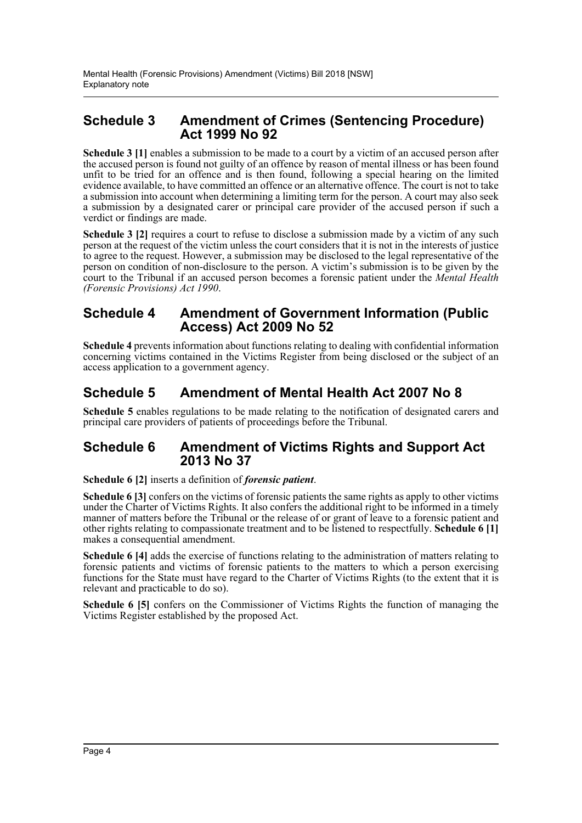### **Schedule 3 Amendment of Crimes (Sentencing Procedure) Act 1999 No 92**

**Schedule 3 [1]** enables a submission to be made to a court by a victim of an accused person after the accused person is found not guilty of an offence by reason of mental illness or has been found unfit to be tried for an offence and is then found, following a special hearing on the limited evidence available, to have committed an offence or an alternative offence. The court is not to take a submission into account when determining a limiting term for the person. A court may also seek a submission by a designated carer or principal care provider of the accused person if such a verdict or findings are made.

**Schedule 3 [2]** requires a court to refuse to disclose a submission made by a victim of any such person at the request of the victim unless the court considers that it is not in the interests of justice to agree to the request. However, a submission may be disclosed to the legal representative of the person on condition of non-disclosure to the person. A victim's submission is to be given by the court to the Tribunal if an accused person becomes a forensic patient under the *Mental Health (Forensic Provisions) Act 1990*.

### **Schedule 4 Amendment of Government Information (Public Access) Act 2009 No 52**

**Schedule 4** prevents information about functions relating to dealing with confidential information concerning victims contained in the Victims Register from being disclosed or the subject of an access application to a government agency.

## **Schedule 5 Amendment of Mental Health Act 2007 No 8**

**Schedule 5** enables regulations to be made relating to the notification of designated carers and principal care providers of patients of proceedings before the Tribunal.

#### **Schedule 6 Amendment of Victims Rights and Support Act 2013 No 37**

**Schedule 6 [2]** inserts a definition of *forensic patient*.

**Schedule 6 [3]** confers on the victims of forensic patients the same rights as apply to other victims under the Charter of Victims Rights. It also confers the additional right to be informed in a timely manner of matters before the Tribunal or the release of or grant of leave to a forensic patient and other rights relating to compassionate treatment and to be listened to respectfully. **Schedule 6 [1]** makes a consequential amendment.

**Schedule 6 [4]** adds the exercise of functions relating to the administration of matters relating to forensic patients and victims of forensic patients to the matters to which a person exercising functions for the State must have regard to the Charter of Victims Rights (to the extent that it is relevant and practicable to do so).

**Schedule 6 [5]** confers on the Commissioner of Victims Rights the function of managing the Victims Register established by the proposed Act.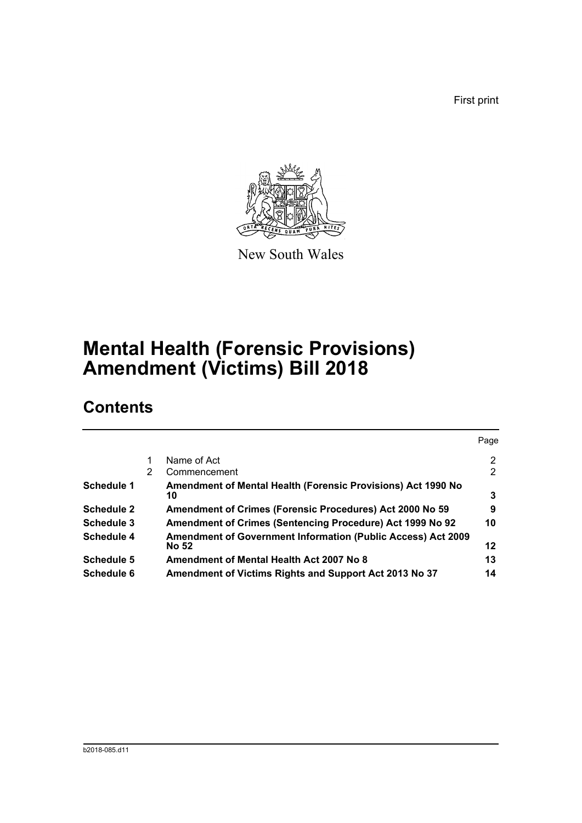First print



New South Wales

# **Mental Health (Forensic Provisions) Amendment (Victims) Bill 2018**

# **Contents**

|                   |   |                                                                                     | Page |
|-------------------|---|-------------------------------------------------------------------------------------|------|
|                   |   | Name of Act                                                                         | 2    |
|                   | 2 | Commencement                                                                        | 2    |
| <b>Schedule 1</b> |   | <b>Amendment of Mental Health (Forensic Provisions) Act 1990 No</b><br>10           | 3    |
| <b>Schedule 2</b> |   | Amendment of Crimes (Forensic Procedures) Act 2000 No 59                            | 9    |
| Schedule 3        |   | Amendment of Crimes (Sentencing Procedure) Act 1999 No 92                           | 10   |
| Schedule 4        |   | <b>Amendment of Government Information (Public Access) Act 2009</b><br><b>No 52</b> | 12   |
| <b>Schedule 5</b> |   | Amendment of Mental Health Act 2007 No 8                                            | 13   |
| Schedule 6        |   | Amendment of Victims Rights and Support Act 2013 No 37                              | 14   |
|                   |   |                                                                                     |      |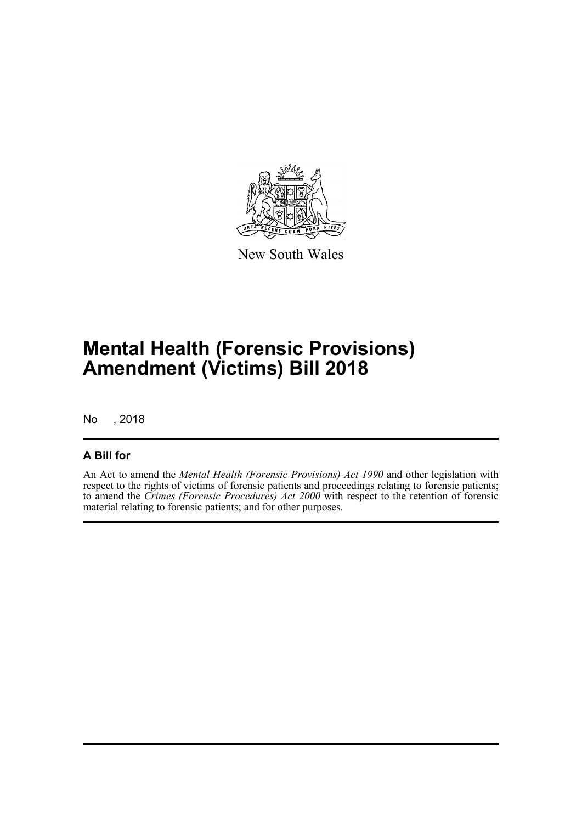

New South Wales

# **Mental Health (Forensic Provisions) Amendment (Victims) Bill 2018**

No , 2018

#### **A Bill for**

An Act to amend the *Mental Health (Forensic Provisions) Act 1990* and other legislation with respect to the rights of victims of forensic patients and proceedings relating to forensic patients; to amend the *Crimes (Forensic Procedures) Act 2000* with respect to the retention of forensic material relating to forensic patients; and for other purposes.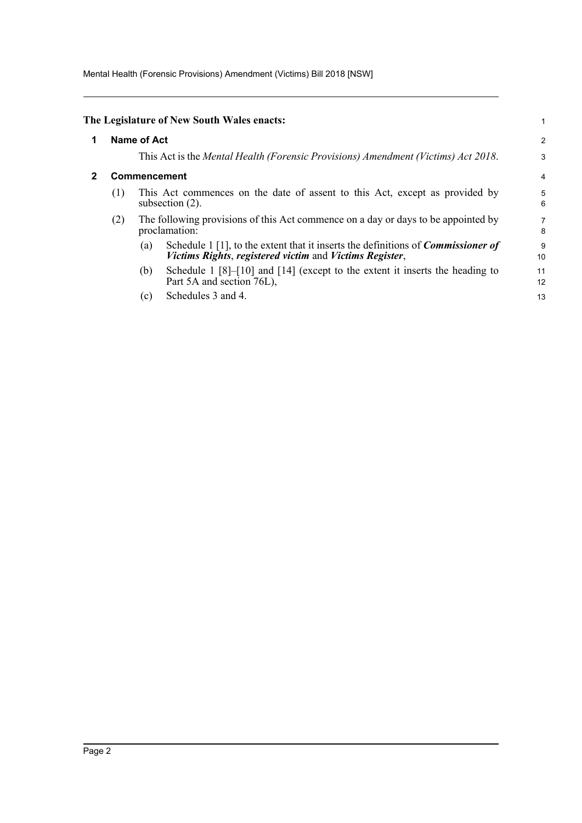Mental Health (Forensic Provisions) Amendment (Victims) Bill 2018 [NSW]

<span id="page-6-1"></span><span id="page-6-0"></span>

|   |                     | The Legislature of New South Wales enacts:                                                                                                                                           |          |
|---|---------------------|--------------------------------------------------------------------------------------------------------------------------------------------------------------------------------------|----------|
| 1 | <b>Name of Act</b>  |                                                                                                                                                                                      |          |
|   |                     | This Act is the Mental Health (Forensic Provisions) Amendment (Victims) Act 2018.                                                                                                    | 3        |
|   | <b>Commencement</b> |                                                                                                                                                                                      |          |
|   | (1)                 | This Act commences on the date of assent to this Act, except as provided by<br>subsection $(2)$ .                                                                                    | 5<br>6   |
|   | (2)                 | The following provisions of this Act commence on a day or days to be appointed by<br>proclamation:                                                                                   | 7<br>8   |
|   |                     | Schedule $1\left[1\right]$ , to the extent that it inserts the definitions of <i>Commissioner of</i><br>$\left( a\right)$<br>Victims Rights, registered victim and Victims Register, | 9<br>10  |
|   |                     | Schedule $1 \, [8]$ - $[10]$ and $[14]$ (except to the extent it inserts the heading to<br>(b)<br>Part 5A and section 76L),                                                          | 11<br>12 |
|   |                     | Schedules 3 and 4.<br>(c)                                                                                                                                                            | 13       |
|   |                     |                                                                                                                                                                                      |          |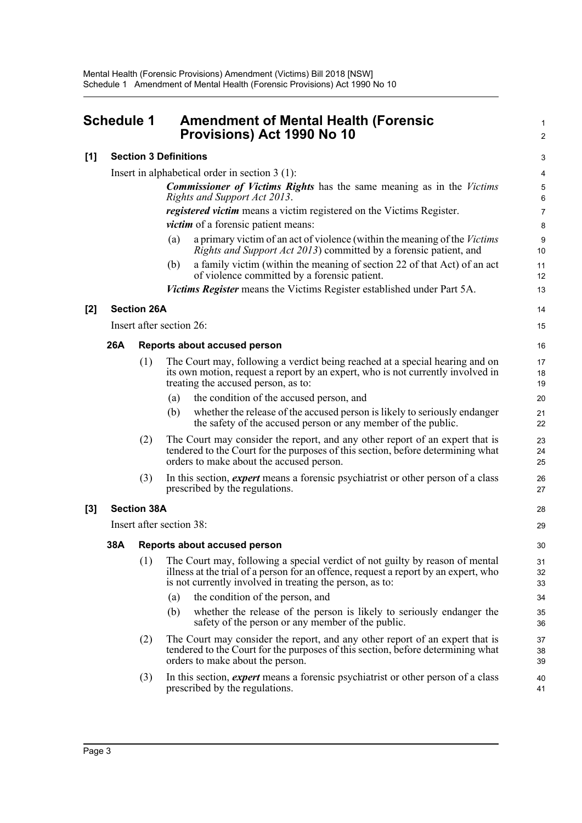<span id="page-7-0"></span>

| <b>Schedule 1</b> |     |                    | <b>Amendment of Mental Health (Forensic</b><br><b>Provisions) Act 1990 No 10</b>                                                                                                                                                |                      |
|-------------------|-----|--------------------|---------------------------------------------------------------------------------------------------------------------------------------------------------------------------------------------------------------------------------|----------------------|
| [1]               |     |                    | <b>Section 3 Definitions</b>                                                                                                                                                                                                    | 3                    |
|                   |     |                    | Insert in alphabetical order in section $3(1)$ :                                                                                                                                                                                | 4                    |
|                   |     |                    | <b>Commissioner of Victims Rights</b> has the same meaning as in the Victims<br>Rights and Support Act 2013.                                                                                                                    | 5<br>$6\phantom{1}6$ |
|                   |     |                    | registered victim means a victim registered on the Victims Register.                                                                                                                                                            | $\overline{7}$       |
|                   |     |                    | victim of a forensic patient means:                                                                                                                                                                                             | 8                    |
|                   |     |                    | a primary victim of an act of violence (within the meaning of the Victims<br>(a)<br><i>Rights and Support Act 2013</i> ) committed by a forensic patient, and                                                                   | 9<br>10              |
|                   |     |                    | a family victim (within the meaning of section 22 of that Act) of an act<br>(b)<br>of violence committed by a forensic patient.                                                                                                 | 11<br>12             |
|                   |     |                    | Victims Register means the Victims Register established under Part 5A.                                                                                                                                                          | 13                   |
| [2]               |     | <b>Section 26A</b> |                                                                                                                                                                                                                                 | 14                   |
|                   |     |                    | Insert after section 26:                                                                                                                                                                                                        | 15                   |
|                   | 26A |                    | Reports about accused person                                                                                                                                                                                                    | 16                   |
|                   |     | (1)                | The Court may, following a verdict being reached at a special hearing and on<br>its own motion, request a report by an expert, who is not currently involved in<br>treating the accused person, as to:                          | 17<br>18<br>19       |
|                   |     |                    | the condition of the accused person, and<br>(a)                                                                                                                                                                                 | 20                   |
|                   |     |                    | whether the release of the accused person is likely to seriously endanger<br>(b)<br>the safety of the accused person or any member of the public.                                                                               | 21<br>22             |
|                   |     | (2)                | The Court may consider the report, and any other report of an expert that is<br>tendered to the Court for the purposes of this section, before determining what<br>orders to make about the accused person.                     | 23<br>24<br>25       |
|                   |     | (3)                | In this section, <i>expert</i> means a forensic psychiatrist or other person of a class<br>prescribed by the regulations.                                                                                                       | 26<br>27             |
| $[3]$             |     | <b>Section 38A</b> |                                                                                                                                                                                                                                 | 28                   |
|                   |     |                    | Insert after section 38:                                                                                                                                                                                                        | 29                   |
|                   | 38A |                    | <b>Reports about accused person</b>                                                                                                                                                                                             | 30                   |
|                   |     | (1)                | The Court may, following a special verdict of not guilty by reason of mental<br>illness at the trial of a person for an offence, request a report by an expert, who<br>is not currently involved in treating the person, as to: | 31<br>32<br>33       |
|                   |     |                    | the condition of the person, and<br>(a)                                                                                                                                                                                         | 34                   |
|                   |     |                    | whether the release of the person is likely to seriously endanger the<br>(b)<br>safety of the person or any member of the public.                                                                                               | 35<br>36             |
|                   |     | (2)                | The Court may consider the report, and any other report of an expert that is<br>tendered to the Court for the purposes of this section, before determining what<br>orders to make about the person.                             | 37<br>38<br>39       |
|                   |     | (3)                | In this section, expert means a forensic psychiatrist or other person of a class<br>prescribed by the regulations.                                                                                                              | 40<br>41             |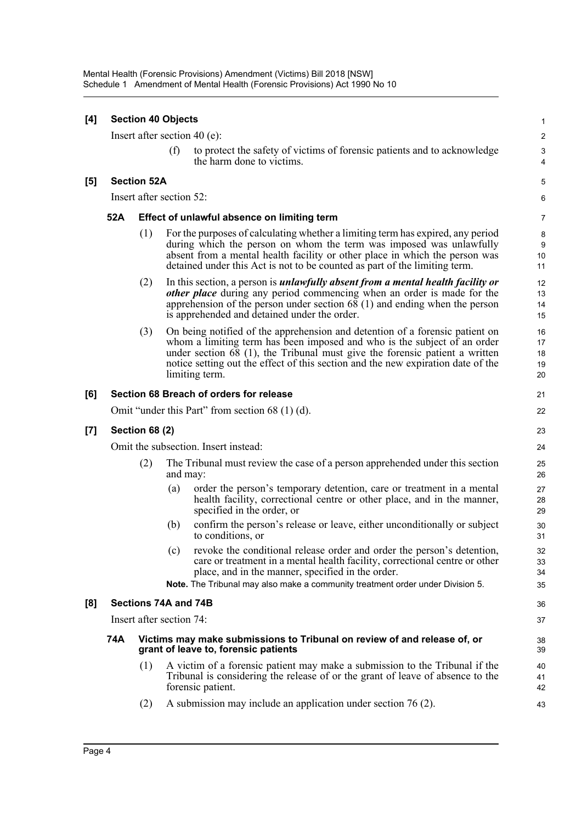| $[4]$ |                                                                                                                         | <b>Section 40 Objects</b> |                   |                                                                                                                                                                                                                                                                                                                                                 | $\mathbf{1}$               |  |  |
|-------|-------------------------------------------------------------------------------------------------------------------------|---------------------------|-------------------|-------------------------------------------------------------------------------------------------------------------------------------------------------------------------------------------------------------------------------------------------------------------------------------------------------------------------------------------------|----------------------------|--|--|
|       |                                                                                                                         |                           |                   | Insert after section 40 (e):                                                                                                                                                                                                                                                                                                                    | $\overline{2}$             |  |  |
|       |                                                                                                                         |                           | (f)               | to protect the safety of victims of forensic patients and to acknowledge<br>the harm done to victims.                                                                                                                                                                                                                                           | 3<br>4                     |  |  |
| [5]   |                                                                                                                         | <b>Section 52A</b>        |                   |                                                                                                                                                                                                                                                                                                                                                 | 5                          |  |  |
|       | Insert after section 52:                                                                                                |                           |                   |                                                                                                                                                                                                                                                                                                                                                 |                            |  |  |
|       | 52A<br>Effect of unlawful absence on limiting term                                                                      |                           |                   |                                                                                                                                                                                                                                                                                                                                                 |                            |  |  |
|       |                                                                                                                         | (1)                       |                   | For the purposes of calculating whether a limiting term has expired, any period<br>during which the person on whom the term was imposed was unlawfully<br>absent from a mental health facility or other place in which the person was<br>detained under this Act is not to be counted as part of the limiting term.                             | 8<br>$9\,$<br>10<br>11     |  |  |
|       |                                                                                                                         | (2)                       |                   | In this section, a person is <i>unlawfully absent from a mental health facility or</i><br><i>other place</i> during any period commencing when an order is made for the<br>apprehension of the person under section $68(1)$ and ending when the person<br>is apprehended and detained under the order.                                          | 12<br>13<br>14<br>15       |  |  |
|       |                                                                                                                         | (3)                       |                   | On being notified of the apprehension and detention of a forensic patient on<br>whom a limiting term has been imposed and who is the subject of an order<br>under section $68$ (1), the Tribunal must give the forensic patient a written<br>notice setting out the effect of this section and the new expiration date of the<br>limiting term. | 16<br>17<br>18<br>19<br>20 |  |  |
| [6]   |                                                                                                                         |                           |                   | Section 68 Breach of orders for release                                                                                                                                                                                                                                                                                                         | 21                         |  |  |
|       |                                                                                                                         |                           |                   | Omit "under this Part" from section $68(1)(d)$ .                                                                                                                                                                                                                                                                                                | 22                         |  |  |
| [7]   | <b>Section 68 (2)</b>                                                                                                   |                           |                   |                                                                                                                                                                                                                                                                                                                                                 |                            |  |  |
|       | Omit the subsection. Insert instead:                                                                                    |                           |                   |                                                                                                                                                                                                                                                                                                                                                 |                            |  |  |
|       | (2)                                                                                                                     |                           | and may:          | The Tribunal must review the case of a person apprehended under this section                                                                                                                                                                                                                                                                    | 25<br>26                   |  |  |
|       |                                                                                                                         |                           | $\left( a\right)$ | order the person's temporary detention, care or treatment in a mental<br>health facility, correctional centre or other place, and in the manner,<br>specified in the order, or                                                                                                                                                                  | 27<br>28<br>29             |  |  |
|       |                                                                                                                         |                           | (b)               | confirm the person's release or leave, either unconditionally or subject<br>to conditions, or                                                                                                                                                                                                                                                   | 30<br>31                   |  |  |
|       |                                                                                                                         |                           |                   | (c) revoke the conditional release order and order the person's detention,<br>care or treatment in a mental health facility, correctional centre or other<br>place, and in the manner, specified in the order.<br>Note. The Tribunal may also make a community treatment order under Division 5.                                                | 32<br>33<br>34<br>35       |  |  |
| [8]   |                                                                                                                         |                           |                   |                                                                                                                                                                                                                                                                                                                                                 | 36                         |  |  |
|       | Sections 74A and 74B<br>Insert after section 74:                                                                        |                           |                   |                                                                                                                                                                                                                                                                                                                                                 |                            |  |  |
|       | 74A<br>Victims may make submissions to Tribunal on review of and release of, or<br>grant of leave to, forensic patients |                           |                   |                                                                                                                                                                                                                                                                                                                                                 |                            |  |  |
|       |                                                                                                                         | (1)                       |                   | A victim of a forensic patient may make a submission to the Tribunal if the<br>Tribunal is considering the release of or the grant of leave of absence to the<br>forensic patient.                                                                                                                                                              | 39<br>40<br>41<br>42       |  |  |
|       |                                                                                                                         | (2)                       |                   | A submission may include an application under section $76(2)$ .                                                                                                                                                                                                                                                                                 | 43                         |  |  |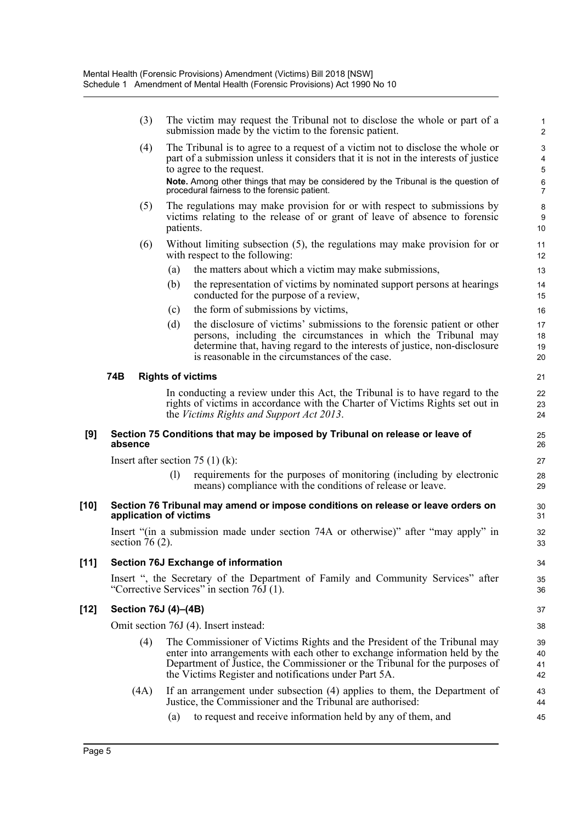|        |                      | (3) | The victim may request the Tribunal not to disclose the whole or part of a<br>submission made by the victim to the forensic patient.                                                                                                                                                            | 1<br>2                            |
|--------|----------------------|-----|-------------------------------------------------------------------------------------------------------------------------------------------------------------------------------------------------------------------------------------------------------------------------------------------------|-----------------------------------|
|        |                      | (4) | The Tribunal is to agree to a request of a victim not to disclose the whole or<br>part of a submission unless it considers that it is not in the interests of justice<br>to agree to the request.                                                                                               | 3<br>$\overline{\mathbf{4}}$<br>5 |
|        |                      |     | Note. Among other things that may be considered by the Tribunal is the question of<br>procedural fairness to the forensic patient.                                                                                                                                                              | $\,6$<br>$\overline{7}$           |
|        |                      | (5) | The regulations may make provision for or with respect to submissions by<br>victims relating to the release of or grant of leave of absence to forensic<br>patients.                                                                                                                            | 8<br>9<br>10                      |
|        |                      | (6) | Without limiting subsection (5), the regulations may make provision for or<br>with respect to the following:                                                                                                                                                                                    | 11<br>12                          |
|        |                      | (a) | the matters about which a victim may make submissions,                                                                                                                                                                                                                                          | 13                                |
|        |                      | (b) | the representation of victims by nominated support persons at hearings<br>conducted for the purpose of a review,                                                                                                                                                                                | 14<br>15                          |
|        |                      | (c) | the form of submissions by victims,                                                                                                                                                                                                                                                             | 16                                |
|        |                      | (d) | the disclosure of victims' submissions to the forensic patient or other<br>persons, including the circumstances in which the Tribunal may<br>determine that, having regard to the interests of justice, non-disclosure<br>is reasonable in the circumstances of the case.                       | 17<br>18<br>19<br>20              |
|        | 74B                  |     | <b>Rights of victims</b>                                                                                                                                                                                                                                                                        | 21                                |
|        |                      |     | In conducting a review under this Act, the Tribunal is to have regard to the<br>rights of victims in accordance with the Charter of Victims Rights set out in<br>the <i>Victims Rights and Support Act 2013</i> .                                                                               | 22<br>23<br>24                    |
| [9]    | absence              |     | Section 75 Conditions that may be imposed by Tribunal on release or leave of                                                                                                                                                                                                                    | 25<br>26                          |
|        |                      |     | Insert after section 75 $(1)$ (k):                                                                                                                                                                                                                                                              | 27                                |
|        |                      | (1) | requirements for the purposes of monitoring (including by electronic<br>means) compliance with the conditions of release or leave.                                                                                                                                                              | 28<br>29                          |
| $[10]$ |                      |     | Section 76 Tribunal may amend or impose conditions on release or leave orders on<br>application of victims                                                                                                                                                                                      | 30<br>31                          |
|        | section 76 $(2)$ .   |     | Insert "(in a submission made under section 74A or otherwise)" after "may apply" in                                                                                                                                                                                                             | 32<br>33                          |
| $[11]$ |                      |     | Section 76J Exchange of information                                                                                                                                                                                                                                                             | 34                                |
|        |                      |     | Insert ", the Secretary of the Department of Family and Community Services" after<br>"Corrective Services" in section 76J (1).                                                                                                                                                                  | 35<br>36                          |
| $[12]$ | Section 76J (4)-(4B) |     |                                                                                                                                                                                                                                                                                                 | 37                                |
|        |                      |     | Omit section 76J (4). Insert instead:                                                                                                                                                                                                                                                           | 38                                |
|        |                      | (4) | The Commissioner of Victims Rights and the President of the Tribunal may<br>enter into arrangements with each other to exchange information held by the<br>Department of Justice, the Commissioner or the Tribunal for the purposes of<br>the Victims Register and notifications under Part 5A. | 39<br>40<br>41<br>42              |
|        | (4A)                 |     | If an arrangement under subsection (4) applies to them, the Department of<br>Justice, the Commissioner and the Tribunal are authorised:                                                                                                                                                         | 43<br>44                          |
|        |                      | (a) | to request and receive information held by any of them, and                                                                                                                                                                                                                                     | 45                                |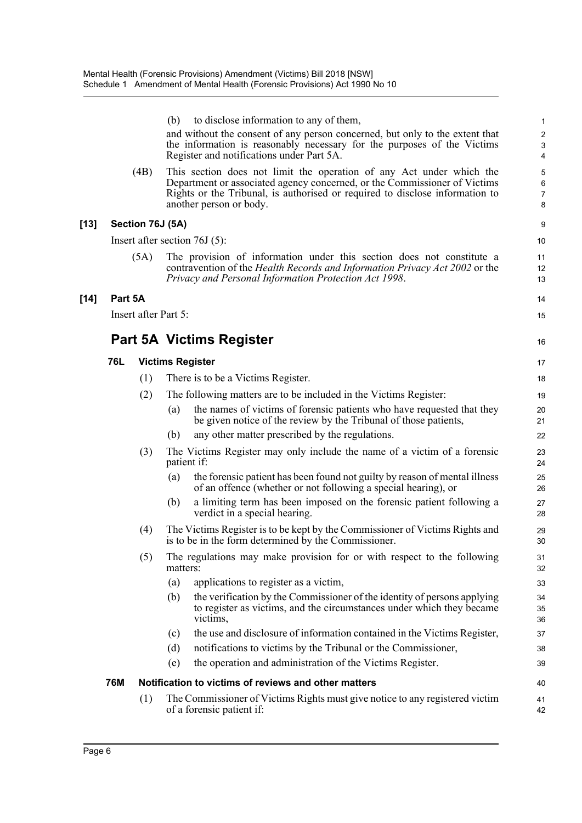|        |            |                      | (b)      | to disclose information to any of them,                                                                                                                                                                                                                      | $\mathbf{1}$                                     |
|--------|------------|----------------------|----------|--------------------------------------------------------------------------------------------------------------------------------------------------------------------------------------------------------------------------------------------------------------|--------------------------------------------------|
|        |            |                      |          | and without the consent of any person concerned, but only to the extent that<br>the information is reasonably necessary for the purposes of the Victims<br>Register and notifications under Part 5A.                                                         | $\overline{c}$<br>$\ensuremath{\mathsf{3}}$<br>4 |
|        |            | (4B)                 |          | This section does not limit the operation of any Act under which the<br>Department or associated agency concerned, or the Commissioner of Victims<br>Rights or the Tribunal, is authorised or required to disclose information to<br>another person or body. | 5<br>$\,6\,$<br>$\overline{7}$<br>$\bf 8$        |
| $[13]$ |            | Section 76J (5A)     |          |                                                                                                                                                                                                                                                              | 9                                                |
|        |            |                      |          | Insert after section $76J(5)$ :                                                                                                                                                                                                                              | 10                                               |
|        |            | (5A)                 |          | The provision of information under this section does not constitute a<br>contravention of the Health Records and Information Privacy Act 2002 or the<br>Privacy and Personal Information Protection Act 1998.                                                | 11<br>12<br>13                                   |
| $[14]$ | Part 5A    |                      |          |                                                                                                                                                                                                                                                              | 14                                               |
|        |            | Insert after Part 5: |          |                                                                                                                                                                                                                                                              | 15                                               |
|        |            |                      |          |                                                                                                                                                                                                                                                              |                                                  |
|        |            |                      |          | <b>Part 5A Victims Register</b>                                                                                                                                                                                                                              | 16                                               |
|        | 76L        |                      |          | <b>Victims Register</b>                                                                                                                                                                                                                                      | 17                                               |
|        |            | (1)                  |          | There is to be a Victims Register.                                                                                                                                                                                                                           | 18                                               |
|        |            | (2)                  |          | The following matters are to be included in the Victims Register:                                                                                                                                                                                            | 19                                               |
|        |            |                      | (a)      | the names of victims of forensic patients who have requested that they<br>be given notice of the review by the Tribunal of those patients,                                                                                                                   | 20<br>21                                         |
|        |            |                      | (b)      | any other matter prescribed by the regulations.                                                                                                                                                                                                              | 22                                               |
|        |            | (3)                  |          | The Victims Register may only include the name of a victim of a forensic<br>patient if:                                                                                                                                                                      | 23<br>24                                         |
|        |            |                      | (a)      | the forensic patient has been found not guilty by reason of mental illness<br>of an offence (whether or not following a special hearing), or                                                                                                                 | 25<br>26                                         |
|        |            |                      | (b)      | a limiting term has been imposed on the forensic patient following a<br>verdict in a special hearing.                                                                                                                                                        | 27<br>28                                         |
|        |            | (4)                  |          | The Victims Register is to be kept by the Commissioner of Victims Rights and<br>is to be in the form determined by the Commissioner.                                                                                                                         | 29<br>30                                         |
|        |            | (5)                  | matters: | The regulations may make provision for or with respect to the following                                                                                                                                                                                      | 31<br>32                                         |
|        |            |                      | (a)      | applications to register as a victim,                                                                                                                                                                                                                        | 33                                               |
|        |            |                      | (b)      | the verification by the Commissioner of the identity of persons applying<br>to register as victims, and the circumstances under which they became<br>victims,                                                                                                | 34<br>35<br>36                                   |
|        |            |                      | (c)      | the use and disclosure of information contained in the Victims Register,                                                                                                                                                                                     | 37                                               |
|        |            |                      | (d)      | notifications to victims by the Tribunal or the Commissioner,                                                                                                                                                                                                | 38                                               |
|        |            |                      | (e)      | the operation and administration of the Victims Register.                                                                                                                                                                                                    | 39                                               |
|        | <b>76M</b> |                      |          | Notification to victims of reviews and other matters                                                                                                                                                                                                         | 40                                               |
|        |            | (1)                  |          | The Commissioner of Victims Rights must give notice to any registered victim<br>of a forensic patient if:                                                                                                                                                    | 41<br>42                                         |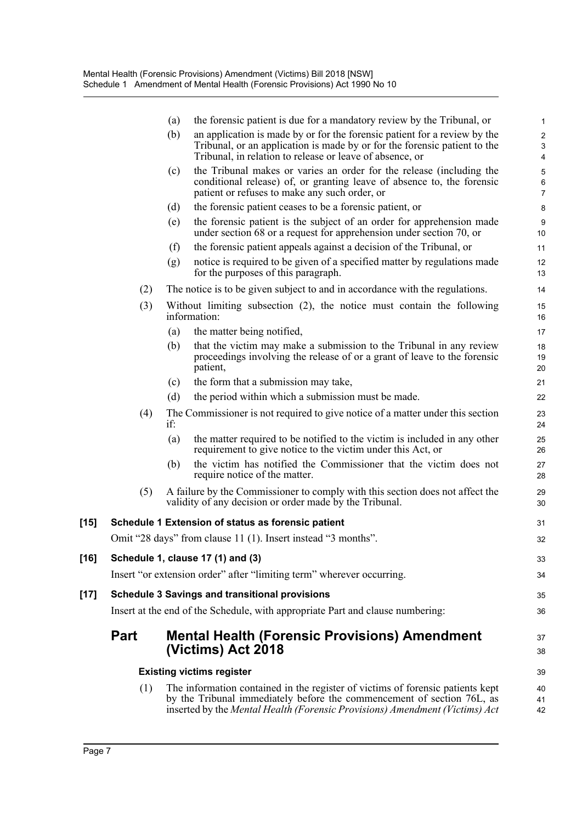|        |             | (a) | the forensic patient is due for a mandatory review by the Tribunal, or                                                                                                                                                                  | $\mathbf{1}$                                                           |
|--------|-------------|-----|-----------------------------------------------------------------------------------------------------------------------------------------------------------------------------------------------------------------------------------------|------------------------------------------------------------------------|
|        |             | (b) | an application is made by or for the forensic patient for a review by the<br>Tribunal, or an application is made by or for the forensic patient to the<br>Tribunal, in relation to release or leave of absence, or                      | $\overline{c}$<br>$\ensuremath{\mathsf{3}}$<br>$\overline{\mathbf{4}}$ |
|        |             | (c) | the Tribunal makes or varies an order for the release (including the<br>conditional release) of, or granting leave of absence to, the forensic<br>patient or refuses to make any such order, or                                         | 5<br>6<br>$\overline{7}$                                               |
|        |             | (d) | the forensic patient ceases to be a forensic patient, or                                                                                                                                                                                | 8                                                                      |
|        |             | (e) | the forensic patient is the subject of an order for apprehension made<br>under section 68 or a request for apprehension under section 70, or                                                                                            | $\boldsymbol{9}$<br>10                                                 |
|        |             | (f) | the forensic patient appeals against a decision of the Tribunal, or                                                                                                                                                                     | 11                                                                     |
|        |             | (g) | notice is required to be given of a specified matter by regulations made<br>for the purposes of this paragraph.                                                                                                                         | 12<br>13                                                               |
|        | (2)         |     | The notice is to be given subject to and in accordance with the regulations.                                                                                                                                                            | 14                                                                     |
|        | (3)         |     | Without limiting subsection $(2)$ , the notice must contain the following<br>information:                                                                                                                                               | 15<br>16                                                               |
|        |             | (a) | the matter being notified,                                                                                                                                                                                                              | 17                                                                     |
|        |             | (b) | that the victim may make a submission to the Tribunal in any review<br>proceedings involving the release of or a grant of leave to the forensic<br>patient,                                                                             | 18<br>19<br>20                                                         |
|        |             | (c) | the form that a submission may take,                                                                                                                                                                                                    | 21                                                                     |
|        |             | (d) | the period within which a submission must be made.                                                                                                                                                                                      | 22                                                                     |
|        | (4)         | if: | The Commissioner is not required to give notice of a matter under this section                                                                                                                                                          | 23<br>24                                                               |
|        |             | (a) | the matter required to be notified to the victim is included in any other<br>requirement to give notice to the victim under this Act, or                                                                                                | 25<br>26                                                               |
|        |             | (b) | the victim has notified the Commissioner that the victim does not<br>require notice of the matter.                                                                                                                                      | 27<br>28                                                               |
|        | (5)         |     | A failure by the Commissioner to comply with this section does not affect the<br>validity of any decision or order made by the Tribunal.                                                                                                | 29<br>30                                                               |
| $[15]$ |             |     | Schedule 1 Extension of status as forensic patient                                                                                                                                                                                      | 31                                                                     |
|        |             |     | Omit "28 days" from clause 11 (1). Insert instead "3 months".                                                                                                                                                                           | 32                                                                     |
| $[16]$ |             |     | Schedule 1, clause 17 (1) and (3)                                                                                                                                                                                                       | 33                                                                     |
|        |             |     | Insert "or extension order" after "limiting term" wherever occurring.                                                                                                                                                                   | 34                                                                     |
| $[17]$ |             |     | <b>Schedule 3 Savings and transitional provisions</b>                                                                                                                                                                                   | 35                                                                     |
|        |             |     | Insert at the end of the Schedule, with appropriate Part and clause numbering:                                                                                                                                                          | 36                                                                     |
|        | <b>Part</b> |     | <b>Mental Health (Forensic Provisions) Amendment</b><br>(Victims) Act 2018                                                                                                                                                              | 37<br>38                                                               |
|        |             |     | <b>Existing victims register</b>                                                                                                                                                                                                        | 39                                                                     |
|        | (1)         |     | The information contained in the register of victims of forensic patients kept<br>by the Tribunal immediately before the commencement of section 76L, as<br>inserted by the Mental Health (Forensic Provisions) Amendment (Victims) Act | 40<br>41<br>42                                                         |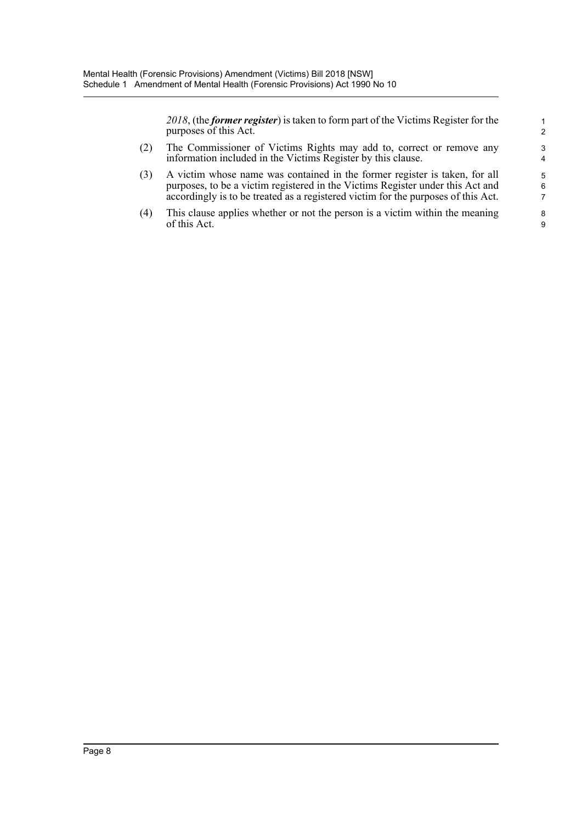*2018*, (the *former register*) is taken to form part of the Victims Register for the purposes of this Act.

- (2) The Commissioner of Victims Rights may add to, correct or remove any information included in the Victims Register by this clause.
- (3) A victim whose name was contained in the former register is taken, for all purposes, to be a victim registered in the Victims Register under this Act and accordingly is to be treated as a registered victim for the purposes of this Act.
- (4) This clause applies whether or not the person is a victim within the meaning of this Act.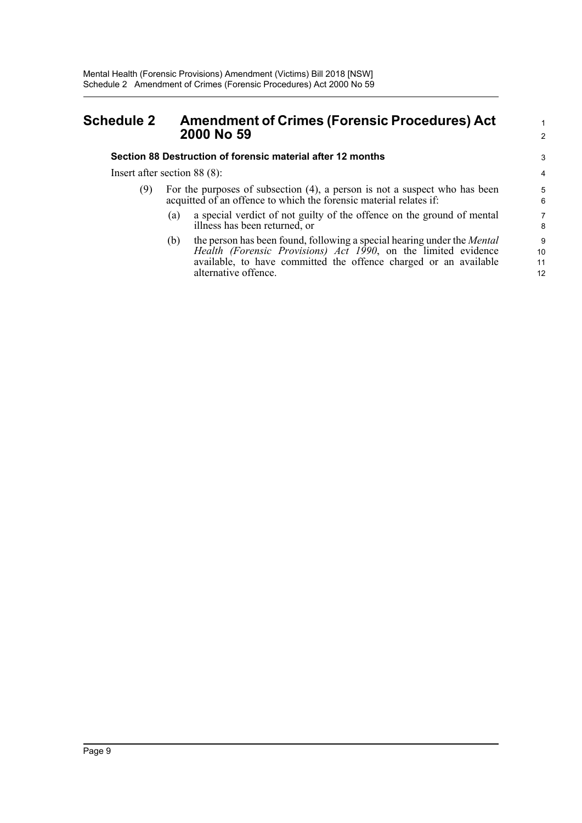### <span id="page-13-0"></span>**Schedule 2 Amendment of Crimes (Forensic Procedures) Act 2000 No 59**

#### **Section 88 Destruction of forensic material after 12 months**

Insert after section 88 (8):

- (9) For the purposes of subsection (4), a person is not a suspect who has been acquitted of an offence to which the forensic material relates if:
	- (a) a special verdict of not guilty of the offence on the ground of mental illness has been returned, or

1 2

(b) the person has been found, following a special hearing under the *Mental Health (Forensic Provisions) Act 1990*, on the limited evidence available, to have committed the offence charged or an available alternative offence.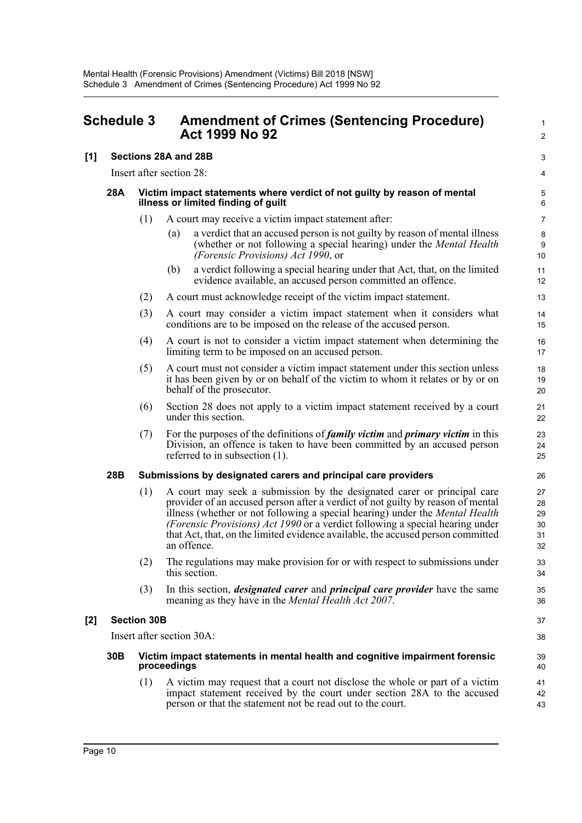<span id="page-14-0"></span>

|     | <b>Schedule 3</b>         |     | <b>Amendment of Crimes (Sentencing Procedure)</b><br><b>Act 1999 No 92</b>                                                                                                                                                                                                                                                                                                                                                           | 1<br>$\overline{2}$              |
|-----|---------------------------|-----|--------------------------------------------------------------------------------------------------------------------------------------------------------------------------------------------------------------------------------------------------------------------------------------------------------------------------------------------------------------------------------------------------------------------------------------|----------------------------------|
| [1] | Sections 28A and 28B      |     | 3                                                                                                                                                                                                                                                                                                                                                                                                                                    |                                  |
|     |                           |     | Insert after section 28:                                                                                                                                                                                                                                                                                                                                                                                                             | 4                                |
|     | 28A                       |     | Victim impact statements where verdict of not guilty by reason of mental<br>illness or limited finding of guilt                                                                                                                                                                                                                                                                                                                      | 5<br>6                           |
|     |                           | (1) | A court may receive a victim impact statement after:                                                                                                                                                                                                                                                                                                                                                                                 | $\overline{7}$                   |
|     |                           |     | a verdict that an accused person is not guilty by reason of mental illness<br>(a)<br>(whether or not following a special hearing) under the <i>Mental Health</i><br>(Forensic Provisions) Act 1990, or                                                                                                                                                                                                                               | 8<br>9<br>10                     |
|     |                           |     | a verdict following a special hearing under that Act, that, on the limited<br>(b)<br>evidence available, an accused person committed an offence.                                                                                                                                                                                                                                                                                     | 11<br>12                         |
|     |                           | (2) | A court must acknowledge receipt of the victim impact statement.                                                                                                                                                                                                                                                                                                                                                                     | 13                               |
|     |                           | (3) | A court may consider a victim impact statement when it considers what<br>conditions are to be imposed on the release of the accused person.                                                                                                                                                                                                                                                                                          | 14<br>15                         |
|     |                           | (4) | A court is not to consider a victim impact statement when determining the<br>limiting term to be imposed on an accused person.                                                                                                                                                                                                                                                                                                       | 16<br>17                         |
|     |                           | (5) | A court must not consider a victim impact statement under this section unless<br>it has been given by or on behalf of the victim to whom it relates or by or on<br>behalf of the prosecutor.                                                                                                                                                                                                                                         | 18<br>19<br>20                   |
|     |                           | (6) | Section 28 does not apply to a victim impact statement received by a court<br>under this section.                                                                                                                                                                                                                                                                                                                                    | 21<br>22                         |
|     |                           | (7) | For the purposes of the definitions of <i>family victim</i> and <i>primary victim</i> in this<br>Division, an offence is taken to have been committed by an accused person<br>referred to in subsection $(1)$ .                                                                                                                                                                                                                      | 23<br>24<br>25                   |
|     | 28B                       |     | Submissions by designated carers and principal care providers                                                                                                                                                                                                                                                                                                                                                                        | 26                               |
|     |                           | (1) | A court may seek a submission by the designated carer or principal care<br>provider of an accused person after a verdict of not guilty by reason of mental<br>illness (whether or not following a special hearing) under the <i>Mental Health</i><br>(Forensic Provisions) Act 1990 or a verdict following a special hearing under<br>that Act, that, on the limited evidence available, the accused person committed<br>an offence. | 27<br>28<br>29<br>30<br>31<br>32 |
|     |                           | (2) | The regulations may make provision for or with respect to submissions under<br>this section.                                                                                                                                                                                                                                                                                                                                         | 33<br>34                         |
|     |                           | (3) | In this section, <i>designated carer</i> and <i>principal care provider</i> have the same<br>meaning as they have in the <i>Mental Health Act 2007</i> .                                                                                                                                                                                                                                                                             | 35<br>36                         |
| [2] | <b>Section 30B</b>        |     |                                                                                                                                                                                                                                                                                                                                                                                                                                      |                                  |
|     | Insert after section 30A: |     |                                                                                                                                                                                                                                                                                                                                                                                                                                      |                                  |
|     | 30B                       |     | Victim impact statements in mental health and cognitive impairment forensic<br>proceedings                                                                                                                                                                                                                                                                                                                                           | 39<br>40                         |
|     |                           | (1) | A victim may request that a court not disclose the whole or part of a victim<br>impact statement received by the court under section 28A to the accused<br>person or that the statement not be read out to the court.                                                                                                                                                                                                                | 41<br>42<br>43                   |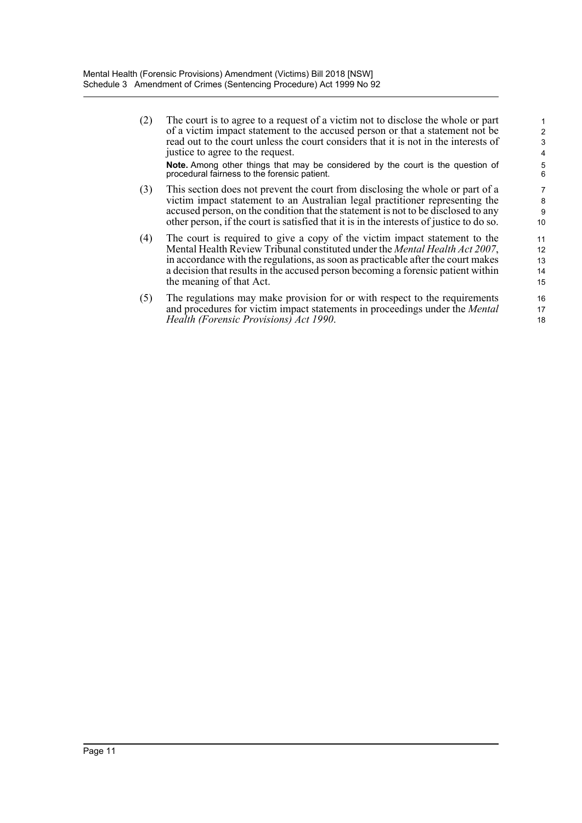(2) The court is to agree to a request of a victim not to disclose the whole or part of a victim impact statement to the accused person or that a statement not be read out to the court unless the court considers that it is not in the interests of justice to agree to the request. **Note.** Among other things that may be considered by the court is the question of procedural fairness to the forensic patient.

- (3) This section does not prevent the court from disclosing the whole or part of a victim impact statement to an Australian legal practitioner representing the accused person, on the condition that the statement is not to be disclosed to any other person, if the court is satisfied that it is in the interests of justice to do so.
- (4) The court is required to give a copy of the victim impact statement to the Mental Health Review Tribunal constituted under the *Mental Health Act 2007*, in accordance with the regulations, as soon as practicable after the court makes a decision that results in the accused person becoming a forensic patient within the meaning of that Act.
- (5) The regulations may make provision for or with respect to the requirements and procedures for victim impact statements in proceedings under the *Mental Health (Forensic Provisions) Act 1990*.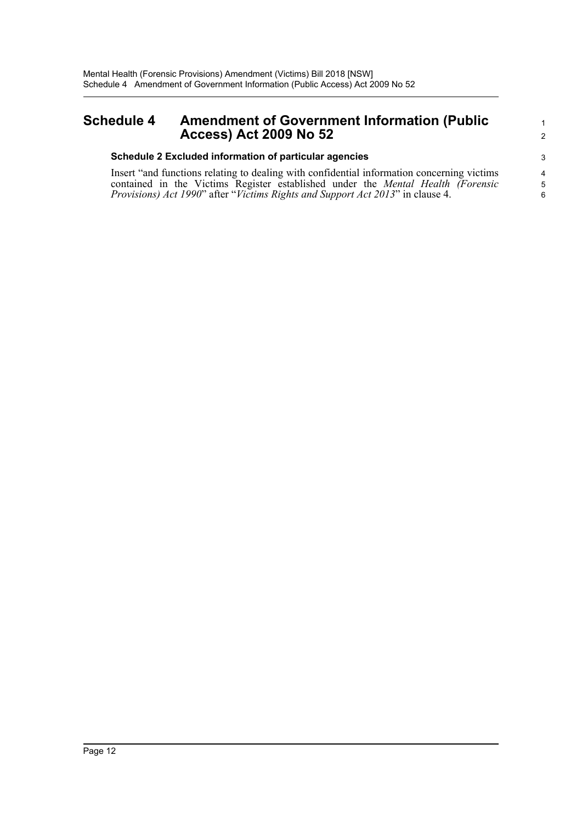### <span id="page-16-0"></span>**Schedule 4 Amendment of Government Information (Public Access) Act 2009 No 52**

#### **Schedule 2 Excluded information of particular agencies**

Insert "and functions relating to dealing with confidential information concerning victims contained in the Victims Register established under the *Mental Health (Forensic Provisions) Act 1990*" after "*Victims Rights and Support Act 2013*" in clause 4.

1 2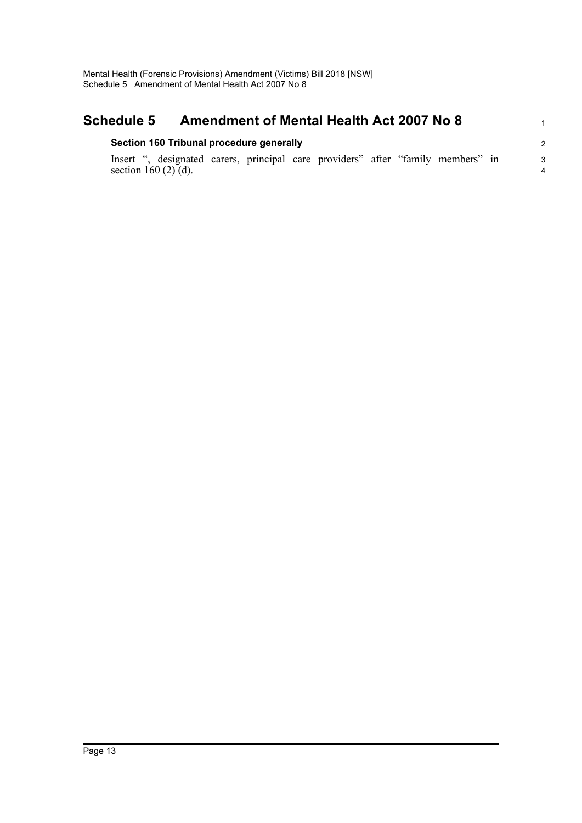#### <span id="page-17-0"></span>**Schedule 5 Amendment of Mental Health Act 2007 No 8 Section 160 Tribunal procedure generally** Insert ", designated carers, principal care providers" after "family members" in section 160  $(2)$   $(d)$ . 1 2 3 4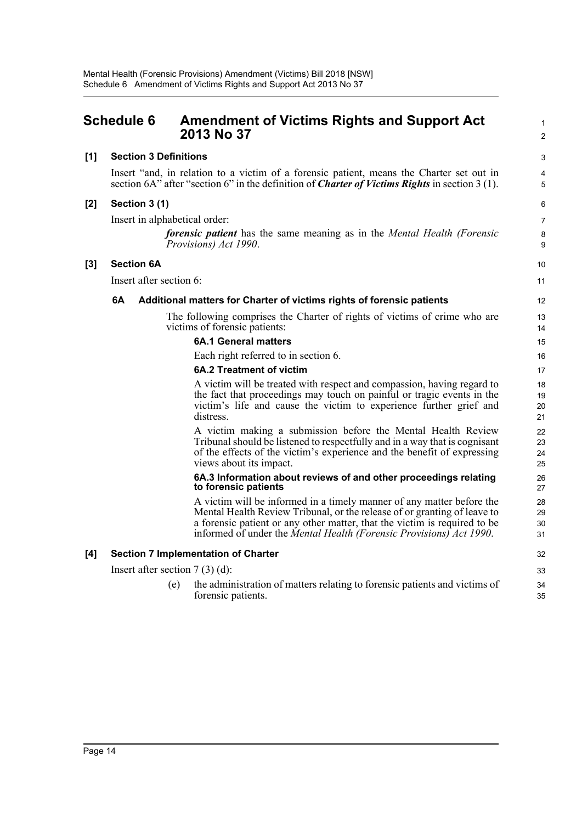<span id="page-18-0"></span>

|     | <b>Schedule 6</b>                                                                                                                                                                                 | <b>Amendment of Victims Rights and Support Act</b><br>2013 No 37                                                                                                                                                                                                                                      | 1<br>$\overline{2}$  |  |  |  |  |
|-----|---------------------------------------------------------------------------------------------------------------------------------------------------------------------------------------------------|-------------------------------------------------------------------------------------------------------------------------------------------------------------------------------------------------------------------------------------------------------------------------------------------------------|----------------------|--|--|--|--|
| [1] |                                                                                                                                                                                                   | <b>Section 3 Definitions</b>                                                                                                                                                                                                                                                                          | 3                    |  |  |  |  |
|     | Insert "and, in relation to a victim of a forensic patient, means the Charter set out in<br>section 6A" after "section 6" in the definition of <i>Charter of Victims Rights</i> in section 3 (1). |                                                                                                                                                                                                                                                                                                       |                      |  |  |  |  |
| [2] | Section 3 (1)                                                                                                                                                                                     |                                                                                                                                                                                                                                                                                                       | 6                    |  |  |  |  |
|     |                                                                                                                                                                                                   | Insert in alphabetical order:                                                                                                                                                                                                                                                                         | $\overline{7}$       |  |  |  |  |
|     |                                                                                                                                                                                                   | <i>forensic patient</i> has the same meaning as in the <i>Mental Health (Forensic</i> )<br>Provisions) Act 1990.                                                                                                                                                                                      | 8<br>9               |  |  |  |  |
| [3] | <b>Section 6A</b>                                                                                                                                                                                 |                                                                                                                                                                                                                                                                                                       | 10                   |  |  |  |  |
|     | Insert after section 6:                                                                                                                                                                           |                                                                                                                                                                                                                                                                                                       | 11                   |  |  |  |  |
|     | 6A                                                                                                                                                                                                | Additional matters for Charter of victims rights of forensic patients                                                                                                                                                                                                                                 | 12                   |  |  |  |  |
|     |                                                                                                                                                                                                   | The following comprises the Charter of rights of victims of crime who are<br>victims of forensic patients:                                                                                                                                                                                            | 13<br>14             |  |  |  |  |
|     |                                                                                                                                                                                                   | <b>6A.1 General matters</b>                                                                                                                                                                                                                                                                           | 15                   |  |  |  |  |
|     |                                                                                                                                                                                                   | Each right referred to in section 6.                                                                                                                                                                                                                                                                  | 16                   |  |  |  |  |
|     |                                                                                                                                                                                                   | <b>6A.2 Treatment of victim</b>                                                                                                                                                                                                                                                                       | 17                   |  |  |  |  |
|     |                                                                                                                                                                                                   | A victim will be treated with respect and compassion, having regard to<br>the fact that proceedings may touch on painful or tragic events in the<br>victim's life and cause the victim to experience further grief and<br>distress.                                                                   | 18<br>19<br>20<br>21 |  |  |  |  |
|     |                                                                                                                                                                                                   | A victim making a submission before the Mental Health Review<br>Tribunal should be listened to respectfully and in a way that is cognisant<br>of the effects of the victim's experience and the benefit of expressing<br>views about its impact.                                                      | 22<br>23<br>24<br>25 |  |  |  |  |
|     |                                                                                                                                                                                                   | 6A.3 Information about reviews of and other proceedings relating<br>to forensic patients                                                                                                                                                                                                              | 26<br>27             |  |  |  |  |
|     |                                                                                                                                                                                                   | A victim will be informed in a timely manner of any matter before the<br>Mental Health Review Tribunal, or the release of or granting of leave to<br>a forensic patient or any other matter, that the victim is required to be<br>informed of under the Mental Health (Forensic Provisions) Act 1990. | 28<br>29<br>30<br>31 |  |  |  |  |
| [4] |                                                                                                                                                                                                   | <b>Section 7 Implementation of Charter</b>                                                                                                                                                                                                                                                            | 32                   |  |  |  |  |
|     |                                                                                                                                                                                                   | Insert after section $7(3)(d)$ :                                                                                                                                                                                                                                                                      | 33                   |  |  |  |  |
|     |                                                                                                                                                                                                   | the administration of matters relating to forensic patients and victims of<br>(e)<br>forensic patients.                                                                                                                                                                                               | 34<br>35             |  |  |  |  |